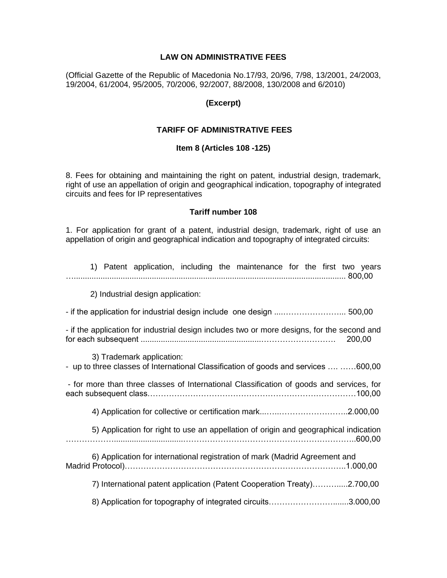### **LAW ON ADMINISTRATIVE FEES**

(Official Gazette of the Republic of Macedonia No.17/93, 20/96, 7/98, 13/2001, 24/2003, 19/2004, 61/2004, 95/2005, 70/2006, 92/2007, 88/2008, 130/2008 and 6/2010)

### **(Excerpt)**

### **TARIFF OF ADMINISTRATIVE FEES**

### **Item 8 (Articles 108 -125)**

8. Fees for obtaining and maintaining the right on patent, industrial design, trademark, right of use an appellation of origin and geographical indication, topography of integrated circuits and fees for IP representatives

### **Tariff number 108**

1. For application for grant of a patent, industrial design, trademark, right of use an appellation of origin and geographical indication and topography of integrated circuits:

| 1) Patent application, including the maintenance for the first two years                                         |
|------------------------------------------------------------------------------------------------------------------|
| 2) Industrial design application:                                                                                |
|                                                                                                                  |
| - if the application for industrial design includes two or more designs, for the second and<br>200,00            |
| 3) Trademark application:<br>- up to three classes of International Classification of goods and services  600,00 |
| - for more than three classes of International Classification of goods and services, for                         |
|                                                                                                                  |
| 5) Application for right to use an appellation of origin and geographical indication                             |
| 6) Application for international registration of mark (Madrid Agreement and                                      |
| 7) International patent application (Patent Cooperation Treaty)2.700,00                                          |
| 8) Application for topography of integrated circuits3.000,00                                                     |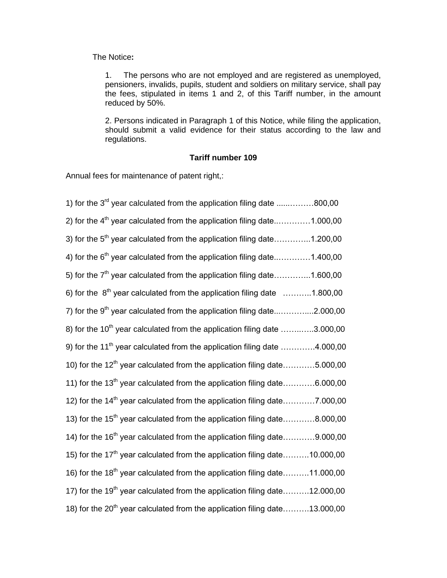The Notice**:**

1. The persons who are not employed and are registered as unemployed, pensioners, invalids, pupils, student and soldiers on military service, shall pay the fees, stipulated in items 1 and 2, of this Tariff number, in the amount reduced by 50%.

2. Persons indicated in Paragraph 1 of this Notice, while filing the application, should submit a valid evidence for their status according to the law and regulations.

## **Tariff number 109**

Annual fees for maintenance of patent right,:

| 1) for the $3^{rd}$ year calculated from the application filing date 800,00                                 |
|-------------------------------------------------------------------------------------------------------------|
| 2) for the 4 <sup>th</sup> year calculated from the application filing date1.000,00                         |
| 3) for the 5 <sup>th</sup> year calculated from the application filing date1.200,00                         |
| 4) for the $6th$ year calculated from the application filing date1.400,00                                   |
| 5) for the 7 <sup>th</sup> year calculated from the application filing date1.600,00                         |
| 6) for the $8^{th}$ year calculated from the application filing date $\ldots \ldots \ldots \ldots 1.800,00$ |
| 7) for the $9th$ year calculated from the application filing date2.000,00                                   |
| 8) for the 10 <sup>th</sup> year calculated from the application filing date 3.000,00                       |
| 9) for the 11 <sup>th</sup> year calculated from the application filing date 4.000,00                       |
| 10) for the $12^{th}$ year calculated from the application filing date5.000,00                              |
| 11) for the 13 <sup>th</sup> year calculated from the application filing date6.000,00                       |
| 12) for the 14 <sup>th</sup> year calculated from the application filing date7.000,00                       |
| 13) for the 15 <sup>th</sup> year calculated from the application filing date8.000,00                       |
| 14) for the $16th$ year calculated from the application filing date9.000,00                                 |
| 15) for the 17 <sup>th</sup> year calculated from the application filing date10.000,00                      |
| 16) for the 18 <sup>th</sup> year calculated from the application filing date11.000,00                      |
| 17) for the 19 <sup>th</sup> year calculated from the application filing date12.000,00                      |
| 18) for the 20 <sup>th</sup> year calculated from the application filing date13.000,00                      |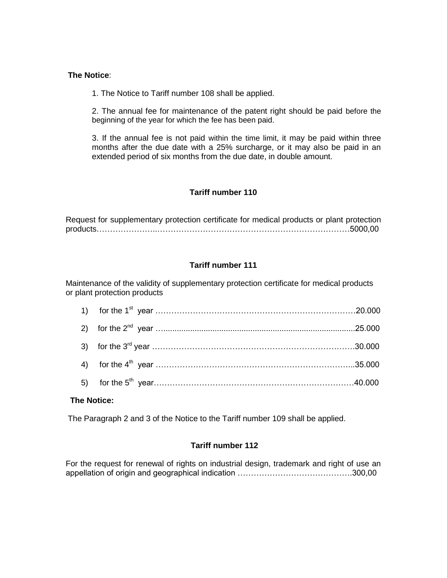### **The Notice**:

1. The Notice to Tariff number 108 shall be applied.

2. The annual fee for maintenance of the patent right should be paid before the beginning of the year for which the fee has been paid.

3. If the annual fee is not paid within the time limit, it may be paid within three months after the due date with a 25% surcharge, or it may also be paid in an extended period of six months from the due date, in double amount.

## **Tariff number 110**

Request for supplementary protection certificate for medical products or plant protection products…………………..………………………………………………………………5000,00

# **Tariff number 111**

Maintenance of the validity of supplementary protection certificate for medical products or plant protection products

### **The Notice:**

The Paragraph 2 and 3 of the Notice to the Tariff number 109 shall be applied.

## **Tariff number 112**

For the request for renewal of rights on industrial design, trademark and right of use an appellation of origin and geographical indication …………………………………….300,00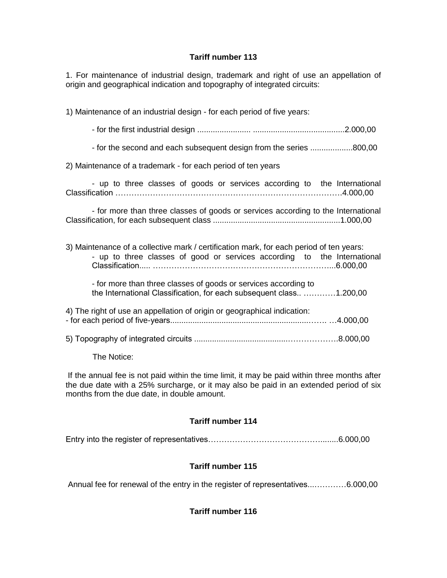# **Tariff number 113**

1. For maintenance of industrial design, trademark and right of use an appellation of origin and geographical indication and topography of integrated circuits:

1) Maintenance of an industrial design - for each period of five years:

- for the first industrial design ........................ .........................................2.000,00

- for the second and each subsequent design from the series ...................800,00

2) Maintenance of a trademark - for each period of ten years

- up to three classes of goods or services according to the International Classification ………………………………………………………………………….4.000,00

- for more than three classes of goods or services according to the International Classification, for each subsequent class .........................................................1.000,00

| 3) Maintenance of a collective mark / certification mark, for each period of ten years:<br>- up to three classes of good or services according to the International |  |
|---------------------------------------------------------------------------------------------------------------------------------------------------------------------|--|
| - for more than three classes of goods or services according to<br>the International Classification, for each subsequent class 1.200,00                             |  |
| 4) The right of use an appellation of origin or geographical indication:                                                                                            |  |
|                                                                                                                                                                     |  |

The Notice:

If the annual fee is not paid within the time limit, it may be paid within three months after the due date with a 25% surcharge, or it may also be paid in an extended period of six months from the due date, in double amount.

# **Tariff number 114**

Entry into the register of representatives……………………………………........6.000,00

# **Tariff number 115**

Annual fee for renewal of the entry in the register of representatives...…………6.000,00

# **Tariff number 116**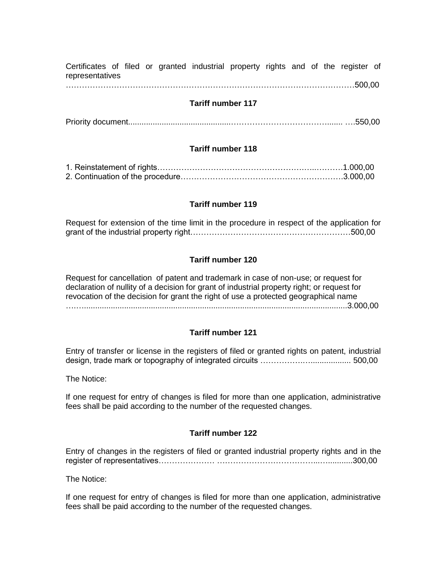Certificates of filed or granted industrial property rights and of the register of representatives

………………………………………………………………………………………………500,00

### **Tariff number 117**

Priority document..............................................………………………………....... ….550,00

### **Tariff number 118**

### **Tariff number 119**

| Request for extension of the time limit in the procedure in respect of the application for |  |  |
|--------------------------------------------------------------------------------------------|--|--|
|                                                                                            |  |  |

### **Tariff number 120**

Request for cancellation of patent and trademark in case of non-use; or request for declaration of nullity of a decision for grant of industrial property right; or request for revocation of the decision for grant the right of use a protected geographical name ….…......................................................................................................................3.000,00

### **Tariff number 121**

Entry of transfer or license in the registers of filed or granted rights on patent, industrial design, trade mark or topography of integrated circuits …………….….................. 500,00

The Notice:

If one request for entry of changes is filed for more than one application, administrative fees shall be paid according to the number of the requested changes.

## **Tariff number 122**

Entry of changes in the registers of filed or granted industrial property rights and in the register of representatives………………… ………………………………...…...........300,00

The Notice:

If one request for entry of changes is filed for more than one application, administrative fees shall be paid according to the number of the requested changes.